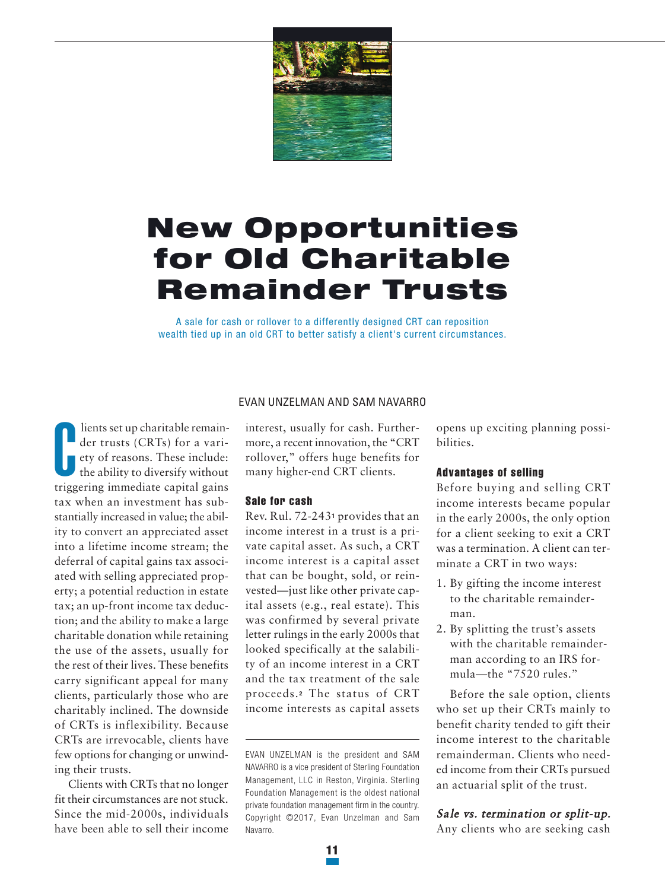

# **New Opportunities for Old Charitable Remainder Trusts**

A sale for cash or rollover to a differently designed CRT can reposition wealth tied up in an old CRT to better satisfy a client's current circumstances.

C **lients set up charitable remainder trusts (CRTs) for a variety of reasons. These include: the ability to diversify without triggering immediate capital gains tax when an investment has substantially increased in value; the ability to convert an appreciated asset into a lifetime income stream; the deferral of capital gains tax associated with selling appreciated property; a potential reduction in estate tax; an up-front income tax deduction; and the ability to make a large charitable donation while retaining the use of the assets, usually for the rest of their lives. These benefits carry significant appeal for many clients, particularly those who are charitably inclined. The downside of CRTs is inflexibility. Because CRTs are irrevocable, clients have** few options for changing or unwind**ing their trusts.**

**Clients with CRTs that no longer fit their circumstances are not stuck. Since the mid-2000s, individuals have been able to sell their income**

## EVAN UNZELMAN AND SAM NAVARRO

**interest, usually for cash. Furthermore, a recent innovation, the "CRT rollover," offers huge benefits for many higher-end CRT clients.**

## **Sale for cash**

**Rev. Rul. 72-243<sup>1</sup> provides that an income interest in a trust is a private capital asset. As such, a CRT income interest is a capital asset that can be bought, sold, or reinvested—just like other private capital assets (e.g., real estate). This was confirmed by several private letter rulings in the early 2000s that looked specifically at the salability of an income interest in a CRT and the tax treatment of the sale proceeds. <sup>2</sup> The status of CRT income interests as capital assets** **opens up exciting planning possibilities.**

## **Advantages of selling**

**Before buying and selling CRT income interests became popular in the early 2000s, the only option for a client seeking to exit a CRT was a termination. A client can terminate a CRT in two ways:**

- **1. By gifting the income interest to the charitable remainderman.**
- **2. By splitting the trust's assets with the charitable remainderman according to an IRS formula—the "7520 rules."**

**Before the sale option, clients who set up their CRTs mainly to benefit charity tended to gift their income interest to the charitable remainderman. Clients who needed income from their CRTs pursued an actuarial split of the trust.**

# **Sale vs. termination or split-up.**

**Any clients who are seeking cash**

EVAN UNZELMAN is the president and SAM NAVARRO is a vice president of Sterling Foundation Management, LLC in Reston, Virginia. Sterling Foundation Management is the oldest national private foundation management firm in the country. Copyright ©2017, Evan Unzelman and Sam Navarro.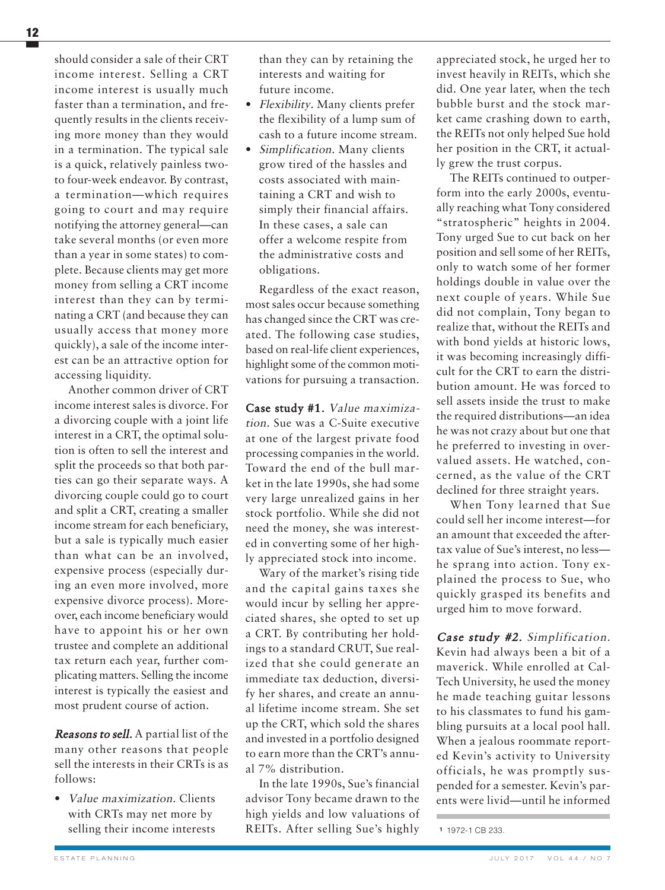**should consider a sale of their CRT income interest. Selling a CRT income interest is usually much faster than a termination, and frequently results in the clients receiving more money than they would in a termination. The typical sale is a quick, relatively painless twoto four-week endeavor. By contrast, a termination—which requires going to court and may require notifying the attorney general—can take several months (or even more than a year in some states) to complete. Because clients may get more money from selling a CRT income interest than they can by terminating a CRT (and because they can usually access that money more quickly), a sale of the income interest can be an attractive option for accessing liquidity.**

**Another common driver of CRT income interest sales is divorce. For a divorcing couple with a joint life interest in a CRT, the optimal solution is often to sell the interest and split the proceeds so that both parties can go their separate ways. A divorcing couple could go to court and split a CRT, creating a smaller income stream for each beneficiary, but a sale is typically much easier than what can be an involved, expensive process (especially during an even more involved, more expensive divorce process). Moreover, each income beneficiary would have to appoint his or her own trustee and complete an additional tax return each year, further complicating matters. Selling the income interest is typically the easiest and most prudent course of action.**

**Reasons to sell. A partial list of the many other reasons that people sell the interests in their CRTs is as follows:**

**• Value maximization. Clients with CRTs may net more by selling their income interests**

**than they can by retaining the interests and waiting for future income.**

- **• Flexibility. Many clients prefer the flexibility of a lump sum of cash to a future income stream.**
- **• Simplification. Many clients grow tired of the hassles and costs associated with maintaining a CRT and wish to simply their financial affairs. In these cases, a sale can offer a welcome respite from the administrative costs and obligations.**

**Regardless of the exact reason, most sales occur because something has changed since the CRT was created. The following case studies, based on real-life client experiences, highlight some of the common motivations for pursuing a transaction.**

**Case study #1. Value maximization. Sue was a C-Suite executive at one of the largest private food processing companies in the world. Toward the end of the bull market in the late 1990s, she had some very large unrealized gains in her stock portfolio. While she did not need the money, she was interested in converting some of her highly appreciated stock into income.**

**Wary of the market's rising tide and the capital gains taxes she would incur by selling her appreciated shares, she opted to set up a CRT. By contributing her holdings to a standard CRUT, Sue realized that she could generate an immediate tax deduction, diversify her shares, and create an annual lifetime income stream. She set up the CRT, which sold the shares and invested in a portfolio designed to earn more than the CRT's annual 7% distribution.**

**In the late 1990s, Sue's financial advisor Tony became drawn to the high yields and low valuations of REITs. After selling Sue's highly**

**appreciated stock, he urged her to invest heavily in REITs, which she did. One year later, when the tech bubble burst and the stock market came crashing down to earth, the REITs not only helped Sue hold her position in the CRT, it actually grew the trust corpus.**

**The REITs continued to outperform into the early 2000s, eventually reaching what Tony considered "stratospheric" heights in 2004. Tony urged Sue to cut back on her position and sell some of her REITs, only to watch some of her former holdings double in value over the next couple of years. While Sue did not complain, Tony began to realize that, without the REITs and with bond yields at historic lows, it was becoming increasingly difficult for the CRT to earn the distribution amount. He was forced to sell assets inside the trust to make the required distributions—an idea he was not crazy about but one that he preferred to investing in overvalued assets. He watched, concerned, as the value of the CRT declined for three straight years.**

**When Tony learned that Sue could sell her income interest—for an amount that exceeded the aftertax value of Sue's interest, no less he sprang into action. Tony explained the process to Sue, who quickly grasped its benefits and urged him to move forward.**

**Case study #2. Simplification. Kevin had always been a bit of a maverick. While enrolled at Cal-Tech University, he used the money he made teaching guitar lessons to his classmates to fund his gambling pursuits at a local pool hall. When a jealous roommate reported Kevin's activity to University officials, he was promptly suspended for a semester. Kevin's parents were livid—until he informed**

**<sup>1</sup>** 1972-1 CB 233.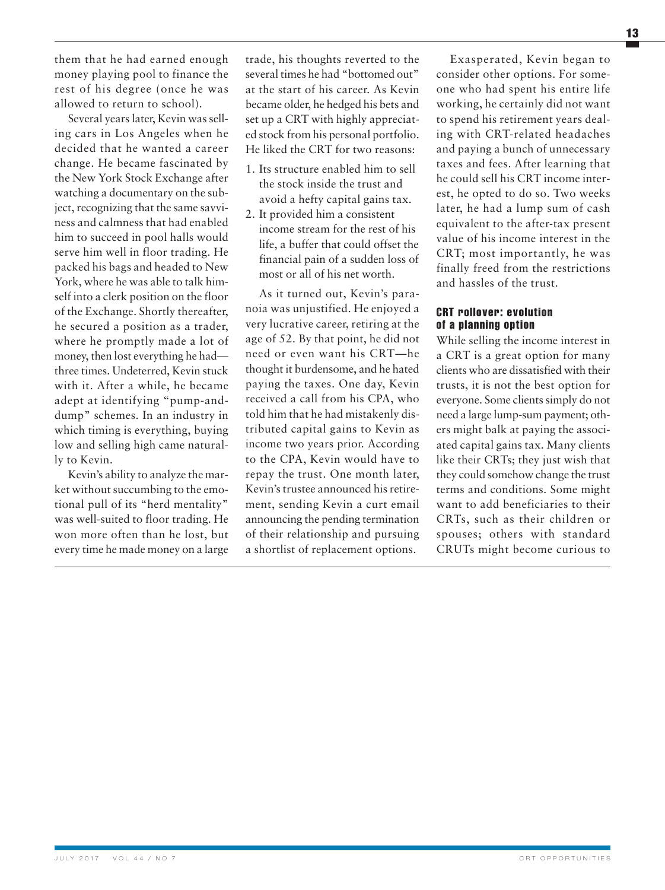**them that he had earned enough money playing pool to finance the rest of his degree (once he was allowed to return to school).**

Several years later, Kevin was sell**ing cars in Los Angeles when he decided that he wanted a career change. He became fascinated by the New York Stock Exchange after watching a documentary on the sub-** $\frac{1}{2}$  **ject**, recognizing that the same savvi**ness and calmness that had enabled him to succeed in pool halls would serve him well in floor trading. He packed his bags and headed to New York, where he was able to talk himself into a clerk position on the floor of the Exchange. Shortly thereafter, he secured a position as a trader, where he promptly made a lot of money, then lost everything he had three times. Undeterred, Kevin stuck with it. After a while, he became adept at identifying "pump-anddump" schemes. In an industry in which timing is everything, buying low and selling high came naturally to Kevin.**

**Kevin's ability to analyze the market withoutsuccumbing to the emotional pull of its "herd mentality" was well-suited to floor trading. He won more often than he lost, but every time he made money on a large**

**trade, his thoughts reverted to the several times he had "bottomed out" at the start of his career. As Kevin became older, he hedged his bets and set up a CRT with highly appreciated stock from his personal portfolio. He liked the CRT for two reasons:**

- **1. Its structure enabled him to sell the stock inside the trust and avoid a hefty capital gains tax.**
- **2. It provided him a consistent income stream for the rest of his life, a buffer that could offset the financial pain of a sudden loss of most or all of his net worth.**

**As it turned out, Kevin's paranoia was unjustified. He enjoyed a very lucrative career, retiring at the age of 52. By that point, he did not need or even want his CRT—he thought it burdensome, and he hated paying the taxes. One day, Kevin received a call from his CPA, who told him that he had mistakenly distributed capital gains to Kevin as income two years prior. According to the CPA, Kevin would have to repay the trust. One month later, Kevin'strustee announced hisretirement, sending Kevin a curt email announcing the pending termination of their relationship and pursuing a shortlist of replacement options.**

**Exasperated, Kevin began to consider other options. For someone who had spent his entire life working, he certainly did not want to spend his retirement years dealing with CRT-related headaches and paying a bunch of unnecessary taxes and fees. After learning that he could sell his CRT income interest, he opted to do so. Two weeks later, he had a lump sum of cash equivalent to the after-tax present value of his income interest in the CRT; most importantly, he was finally freed from the restrictions and hassles of the trust.**

# **CRT rollover: evolution of a planning option**

**While selling the income interest in a CRT is a great option for many clients who are dissatisfied with their trusts, it is not the best option for everyone. Some clientssimply do not need a large lump-sum payment; others might balk at paying the associated capital gains tax. Many clients like their CRTs; they just wish that they could somehow change the trust terms and conditions. Some might want to add beneficiaries to their CRTs, such as their children or spouses; others with standard CRUTs might become curious to**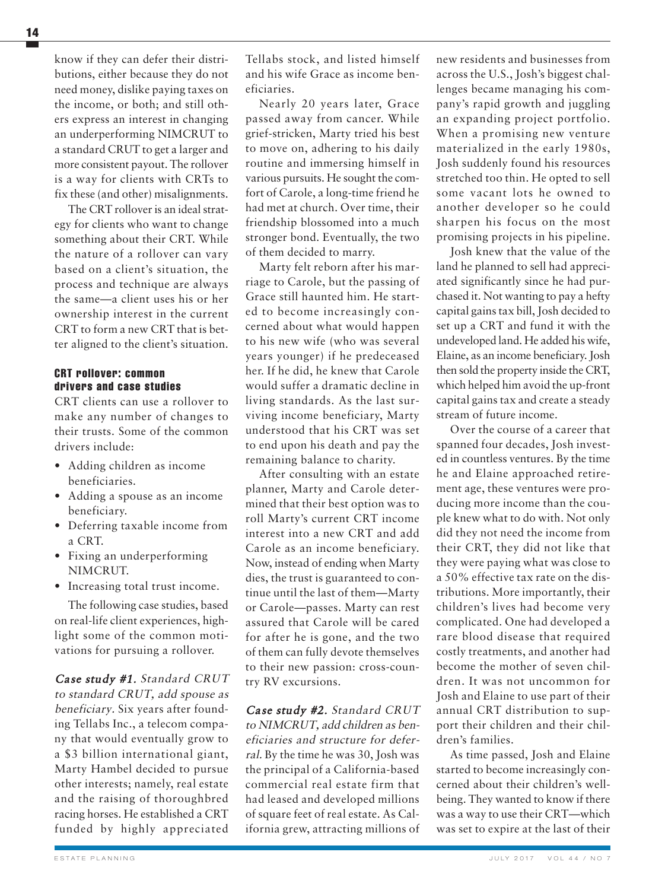**know if they can defer their distributions, either because they do not need money, dislike paying taxes on the income, or both; and still others express an interest in changing an underperforming NIMCRUT to a standard CRUT to get a larger and more consistent payout. The rollover is a way for clients with CRTs to fix these (and other) misalignments.**

**The CRT rolloveris an idealstrategy for clients who want to change something about their CRT. While the nature of a rollover can vary based on a client's situation, the process and technique are always the same—a client uses his or her ownership interest in the current CRT to form a new CRT that is better aligned to the client's situation.**

# **CRT rollover: common drivers and case studies**

**CRT clients can use a rollover to make any number of changes to their trusts. Some of the common drivers include:**

- **• Adding children as income beneficiaries.**
- **• Adding a spouse as an income beneficiary.**
- **• Deferring taxable income from a CRT.**
- **• Fixing an underperforming NIMCRUT.**
- **• Increasing total trust income.**

**The following case studies, based on real-life client experiences, highlight some of the common motivations for pursuing a rollover.**

**Case study #1. Standard CRUT to standard CRUT, add spouse as beneficiary. Six years after founding Tellabs Inc., a telecom company that would eventually grow to a \$3 billion international giant, Marty Hambel decided to pursue other interests; namely, real estate and the raising of thoroughbred racing horses. He established a CRT funded by highly appreciated**

**Tellabs stock, and listed himself and his wife Grace as income beneficiaries.**

**Nearly 20 years later, Grace passed away from cancer. While grief-stricken, Marty tried his best to move on, adhering to his daily routine and immersing himself in various pursuits. He sought the comfort of Carole, a long-time friend he had met at church. Over time, their friendship blossomed into a much stronger bond. Eventually, the two of them decided to marry.**

**Marty felt reborn after his marriage to Carole, but the passing of Grace still haunted him. He started to become increasingly concerned about what would happen to his new wife (who was several years younger) if he predeceased her. If he did, he knew that Carole would suffer a dramatic decline in living standards. As the last surviving income beneficiary, Marty understood that his CRT was set to end upon his death and pay the remaining balance to charity.**

**After consulting with an estate planner, Marty and Carole determined that their best option was to roll Marty's current CRT income interest into a new CRT and add Carole as an income beneficiary. Now, instead of ending when Marty dies, the trust is guaranteed to continue until the last of them—Marty or Carole—passes. Marty can rest assured that Carole will be cared for after he is gone, and the two of them can fully devote themselves to their new passion: cross-country RV excursions.**

**Case study #2. Standard CRUT to NIMCRUT, add children as beneficiaries and structure for deferral. By the time he was 30, Josh was the principal of a California-based commercial real estate firm that had leased and developed millions of square feet of real estate. As California grew, attracting millions of**

**new residents and businesses from across the U.S., Josh's biggest challenges became managing his company's rapid growth and juggling an expanding project portfolio. When a promising new venture materialized in the early 1980s, Josh suddenly found his resources stretched too thin. He opted to sell some vacant lots he owned to another developer so he could sharpen his focus on the most promising projects in his pipeline.**

**Josh knew that the value of the land he planned to sell had appreciated significantly since he had purchased it. Not wanting to pay a hefty capital gainstax bill,Josh decided to set up a CRT and fund it with the undeveloped land. He added his wife, Elaine, as an income beneficiary.Josh then sold the property inside the CRT, which helped him avoid the up-front capital gains tax and create a steady stream of future income.**

**Over the course of a career that spanned four decades, Josh invested in countless ventures. By the time he and Elaine approached retirement age, these ventures were producing more income than the couple knew what to do with. Not only did they not need the income from their CRT, they did not like that they were paying what was close to a 50% effective tax rate on the distributions. More importantly, their children's lives had become very complicated. One had developed a rare blood disease that required costly treatments, and another had become the mother of seven children. It was not uncommon for Josh and Elaine to use part of their annual CRT distribution to support their children and their children's families.**

**As time passed, Josh and Elaine started to become increasingly concerned about their children's wellbeing. They wanted to know if there was a way to use their CRT—which was set to expire at the last of their**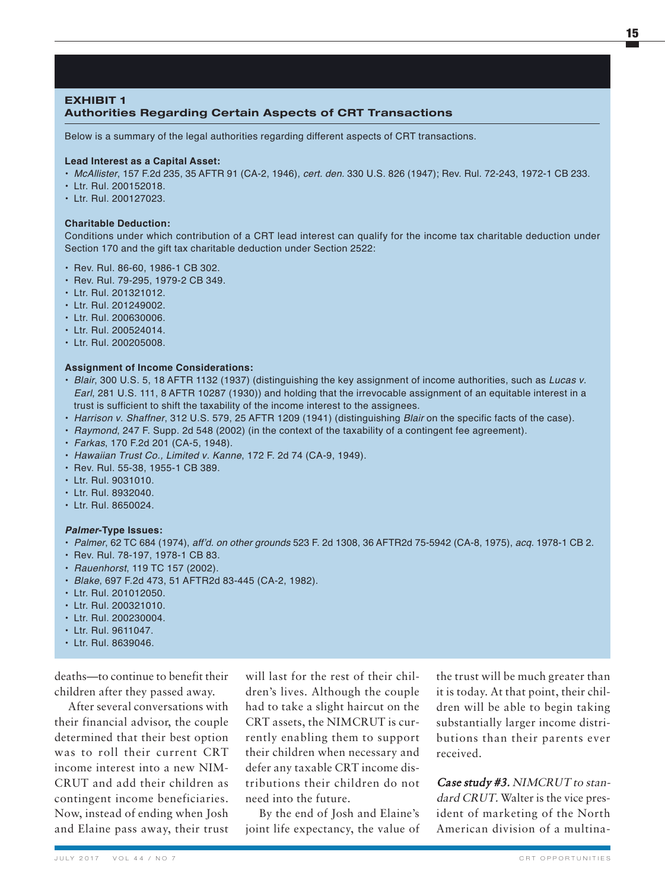# **EXHIBIT 1 Authorities Regarding Certain Aspects of CRT Transactions**

Below is a summary of the legal authorities regarding different aspects of CRT transactions.

### **Lead Interest as a Capital Asset:**

- *McAllister*, 157 F.2d 235, 35 AFTR 91 (CA-2, 1946), *cert. den.* 330 U.S. 826 (1947); Rev. Rul. 72-243, 1972-1 CB 233.
- Ltr. Rul. 200152018.
- Ltr. Rul. 200127023.

#### **Charitable Deduction:**

Conditions under which contribution of a CRT lead interest can qualify for the income tax charitable deduction under Section 170 and the gift tax charitable deduction under Section 2522:

- Rev. Rul. 86-60, 1986-1 CB 302.
- Rev. Rul. 79-295, 1979-2 CB 349.
- Ltr. Rul. 201321012.
- Ltr. Rul. 201249002.
- Ltr. Rul. 200630006.
- Ltr. Rul. 200524014.
- Ltr. Rul. 200205008.

#### **Assignment of Income Considerations:**

- *Blair*, 300 U.S. 5, 18 AFTR 1132 (1937) (distinguishing the key assignment of income authorities, such as *Lucas v. Earl*, 281 U.S. 111, 8 AFTR 10287 (1930)) and holding that the irrevocable assignment of an equitable interest in a trust is sufficient to shift the taxability of the income interest to the assignees.
- *Harrison v. Shaffner*, 312 U.S. 579, 25 AFTR 1209 (1941) (distinguishing *Blair* on the specific facts of the case).
- *Raymond*, 247 F. Supp. 2d 548 (2002) (in the context of the taxability of a contingent fee agreement).
- *Farkas*, 170 F.2d 201 (CA-5, 1948).
- *Hawaiian Trust Co., Limited v. Kanne*, 172 F. 2d 74 (CA-9, 1949).
- Rev. Rul. 55-38, 1955-1 CB 389.
- Ltr. Rul. 9031010.
- Ltr. Rul. 8932040.
- Ltr. Rul. 8650024.

#### *Palmer***-Type Issues:**

- *Palmer*, 62 TC 684 (1974), *aff'd. on other grounds* 523 F. 2d 1308, 36 AFTR2d 75-5942 (CA-8, 1975), *acq.* 1978-1 CB 2.
- Rev. Rul. 78-197, 1978-1 CB 83.
- *Rauenhorst*, 119 TC 157 (2002).
- *Blake*, 697 F.2d 473, 51 AFTR2d 83-445 (CA-2, 1982).
- Ltr. Rul. 201012050.
- Ltr. Rul. 200321010.
- Ltr. Rul. 200230004.
- Ltr. Rul. 9611047.
- Ltr. Rul. 8639046.

**deaths—to continue to benefit their children after they passed away.**

**After several conversations with their financial advisor, the couple determined that their best option was to roll their current CRT income interest into a new NIM-CRUT and add their children as contingent income beneficiaries. Now, instead of ending when Josh and Elaine pass away, their trust**

**will last for the rest of their children's lives. Although the couple had to take a slight haircut on the CRT assets, the NIMCRUT is currently enabling them to support their children when necessary and defer any taxable CRT income distributions their children do not need into the future.**

**By the end of Josh and Elaine's joint life expectancy, the value of** **the trust will be much greater than it is today. At that point, their children will be able to begin taking substantially larger income distributions than their parents ever received.**

**Case study #3. NIMCRUT to standard CRUT. Walter is the vice president of marketing of the North American division of a multina-**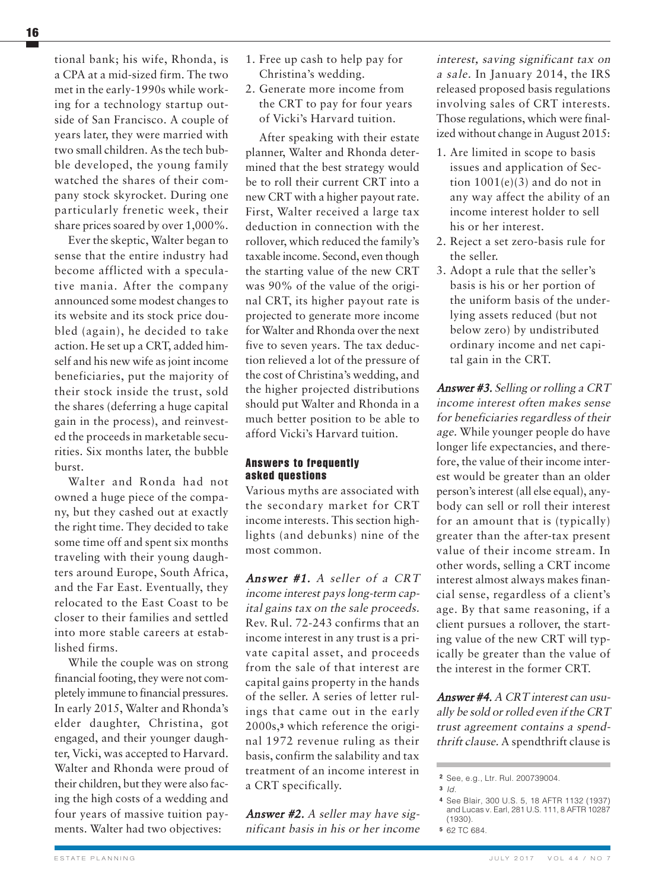**tional bank; his wife, Rhonda, is a CPA at a mid-sized firm. The two met in the early-1990s while working for a technology startup outside of San Francisco. A couple of years later, they were married with two small children. As the tech bubble developed, the young family watched the shares of their company stock skyrocket. During one particularly frenetic week, their share prices soared by over 1,000%.**

**Ever the skeptic, Walter began to sense that the entire industry had become afflicted with a speculative mania. After the company announced some modest changes to its website and its stock price doubled (again), he decided to take action. He set up a CRT, added himself and his new wife as joint income beneficiaries, put the majority of their stock inside the trust, sold the shares (deferring a huge capital gain in the process), and reinvested the proceeds in marketable securities. Six months later, the bubble burst.**

**Walter and Ronda had not owned a huge piece of the company, but they cashed out at exactly the right time. They decided to take some time off and spent six months traveling with their young daughters around Europe, South Africa, and the Far East. Eventually, they relocated to the East Coast to be closer to their families and settled into more stable careers at established firms.**

**While the couple was on strong financial footing, they were not completely immune to financial pressures. In early 2015, Walter and Rhonda's elder daughter, Christina, got engaged, and their younger daughter, Vicki, was accepted to Harvard. Walter and Rhonda were proud of their children, but they were also facing the high costs of a wedding and four years of massive tuition payments. Walter had two objectives:**

- **1. Free up cash to help pay for Christina's wedding.**
- **2. Generate more income from the CRT to pay for four years of Vicki's Harvard tuition.**

**After speaking with their estate planner, Walter and Rhonda determined that the best strategy would be to roll their current CRT into a new CRT with a higher payout rate. First, Walter received a large tax deduction in connection with the rollover, which reduced the family's taxable income. Second, even though the starting value of the new CRT was 90% of the value of the original CRT, its higher payout rate is projected to generate more income for Walter and Rhonda overthe next five to seven years. The tax deduction relieved a lot of the pressure of the cost of Christina's wedding, and the higher projected distributions should put Walter and Rhonda in a much better position to be able to afford Vicki's Harvard tuition.**

## **Answers to frequently asked questions**

**Various myths are associated with the secondary market for CRT income interests. This section highlights (and debunks) nine of the most common.**

**Answer #1. A seller of <sup>a</sup> CRT income interest pays long-term capital gains tax on the sale proceeds. Rev. Rul. 72-243 confirms that an income interest in any trust is a private capital asset, and proceeds from the sale of that interest are capital gains property in the hands of the seller. A series of letter rulings that came out in the early 2000s,<sup>3</sup> which reference the original 1972 revenue ruling as their basis, confirm the salability and tax treatment of an income interest in a CRT specifically.**

**Answer #2. A seller may have significant basis in his or her income**

**interest, saving significant tax on <sup>a</sup> sale. In January 2014, the IRS released proposed basis regulations involving sales of CRT interests. Those regulations, which were finalized without change in August 2015:**

- **1. Are limited in scope to basis issues and application of Section 1001(e)(3) and do not in any way affect the ability of an income interest holder to sell his or her interest.**
- **2. Reject a set zero-basis rule for the seller.**
- **3. Adopt a rule that the seller's basis is his or her portion of the uniform basis of the underlying assets reduced (but not below zero) by undistributed ordinary income and net capital gain in the CRT.**

**Answer #3. Selling or rolling <sup>a</sup> CRT income interest often makes sense for beneficiaries regardless of their age. While younger people do have longer life expectancies, and therefore, the value of their income interest would be greater than an older person'sinterest (all else equal), anybody can sell or roll their interest for an amount that is (typically) greater than the after-tax present value of their income stream. In other words, selling a CRT income interest almost always makes financial sense, regardless of a client's age. By that same reasoning, if a client pursues a rollover, the starting value of the new CRT will typically be greater than the value of the interest in the former CRT.**

**Answer #4. A CRT interest can usually be sold or rolled even if the CRT trust agreement contains <sup>a</sup> spendthrift clause. A spendthrift clause is**

**<sup>2</sup>** See, e.g., Ltr. Rul. 200739004.

**<sup>3</sup>** *Id.*

**<sup>4</sup>** See Blair, 300 U.S. 5, 18 AFTR 1132 (1937) and Lucas v. Earl, 281 U.S. 111, 8 AFTR 10287 (1930).